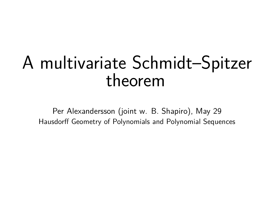## A multivariate Schmidt–Spitzer theorem

Per Alexandersson (joint w. B. Shapiro), May 29 Hausdorff Geometry of Polynomials and Polynomial Sequences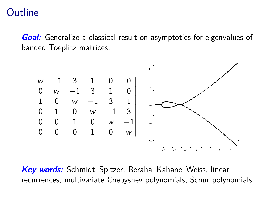#### **Outline**

**Goal:** Generalize a classical result on asymptotics for eigenvalues of banded Toeplitz matrices.



**Key words:** Schmidt–Spitzer, Beraha–Kahane–Weiss, linear recurrences, multivariate Chebyshev polynomials, Schur polynomials.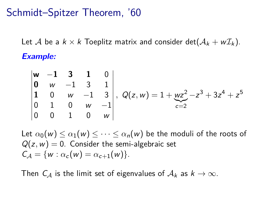### Schmidt–Spitzer Theorem, '60

Let A be a  $k \times k$  Toeplitz matrix and consider det $(\mathcal{A}_k + w \mathcal{I}_k)$ . **Example:**

$$
\begin{vmatrix} w & -1 & 3 & 1 & 0 \ 0 & w & -1 & 3 & 1 \ 1 & 0 & w & -1 & 3 \ 0 & 1 & 0 & w & -1 \ 0 & 0 & 1 & 0 & w \ \end{vmatrix}, Q(z, w) = 1 + wz^{2} - z^{3} + 3z^{4} + z^{5}
$$

Let  $\alpha_0(w) \leq \alpha_1(w) \leq \cdots \leq \alpha_n(w)$  be the moduli of the roots of  $Q(z, w) = 0$ . Consider the semi-algebraic set  $C_A = \{w : \alpha_c(w) = \alpha_{c+1}(w)\}.$ 

Then  $C_A$  is the limit set of eigenvalues of  $A_k$  as  $k \to \infty$ .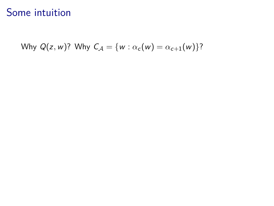### Some intuition

Why  $Q(z, w)$ ? Why  $C_A = \{w : \alpha_c(w) = \alpha_{c+1}(w)\}$ ?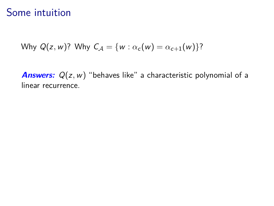### Some intuition

Why 
$$
Q(z, w)
$$
? Why  $C_A = \{w : \alpha_c(w) = \alpha_{c+1}(w)\}$ ?

**Answers:** Q(z, w) "behaves like" a characteristic polynomial of a linear recurrence.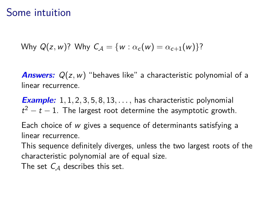#### Some intuition

Why 
$$
Q(z, w)
$$
? Why  $C_A = \{w : \alpha_c(w) = \alpha_{c+1}(w)\}$ ?

**Answers:** Q(z*,*w) "behaves like" a characteristic polynomial of a linear recurrence.

**Example:** 1*,* 1*,* 2*,* 3*,* 5*,* 8*,* 13*, . . . ,* has characteristic polynomial  $t^2 - t - 1$ . The largest root determine the asymptotic growth.

Each choice of w gives a sequence of determinants satisfying a linear recurrence.

This sequence definitely diverges, unless the two largest roots of the characteristic polynomial are of equal size.

The set  $C_A$  describes this set.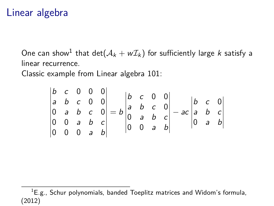#### Linear algebra

One can show $^1$  that  $\det(\mathcal{A}_k + w\mathcal{I}_k)$  for sufficiently large  $k$  satisfy a linear recurrence.

Classic example from Linear algebra 101:

$$
\begin{vmatrix} b & c & 0 & 0 & 0 \ a & b & c & 0 & 0 \ 0 & a & b & c & 0 \ 0 & 0 & a & b & c \ 0 & 0 & 0 & a & b \end{vmatrix} = b \begin{vmatrix} b & c & 0 & 0 \ a & b & c & 0 \ 0 & a & b & c \ 0 & 0 & a & b \end{vmatrix} - ac \begin{vmatrix} b & c & 0 \ a & b & c \ 0 & a & b \end{vmatrix}
$$

 ${}^{1}E.g.,$  Schur polynomials, banded Toeplitz matrices and Widom's formula, (2012)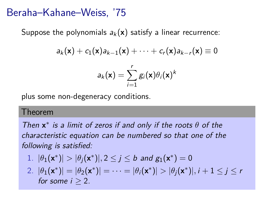#### Beraha–Kahane–Weiss, '75

Suppose the polynomials  $a_k(x)$  satisfy a linear recurrence:

$$
a_k(\mathbf{x}) + c_1(\mathbf{x})a_{k-1}(\mathbf{x}) + \cdots + c_r(\mathbf{x})a_{k-r}(\mathbf{x}) \equiv 0
$$

$$
a_k(\mathbf{x}) = \sum_{i=1}^r g_i(\mathbf{x}) \theta_i(\mathbf{x})^k
$$

plus some non-degeneracy conditions.

#### Theorem

Then **x** ∗ is a limit of zeros if and only if the roots *θ* of the characteristic equation can be numbered so that one of the following is satisfied:

1. 
$$
|\theta_1(\mathbf{x}^*)| > |\theta_j(\mathbf{x}^*)|, 2 \le j \le b
$$
 and  $g_1(\mathbf{x}^*) = 0$ 

2. 
$$
|\theta_1(\mathbf{x}^*)| = |\theta_2(\mathbf{x}^*)| = \cdots = |\theta_i(\mathbf{x}^*)| > |\theta_j(\mathbf{x}^*)|, i+1 \leq j \leq r
$$
  
for some  $i \geq 2$ .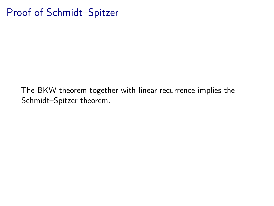## Proof of Schmidt–Spitzer

The BKW theorem together with linear recurrence implies the Schmidt–Spitzer theorem.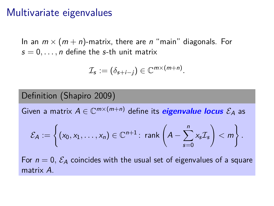#### Multivariate eigenvalues

In an  $m \times (m + n)$ -matrix, there are n "main" diagonals. For  $s = 0, \ldots, n$  define the s-th unit matrix

$$
\mathcal{I}_s := (\delta_{s+i-j}) \in \mathbb{C}^{m \times (m+n)}.
$$

#### Definition (Shapiro 2009)

Given a matrix  $A \in \mathbb{C}^{m \times (m+n)}$  define its  ${\it eigenvalue \:} \: locus \: \mathcal{E}_A$  as

$$
\mathcal{E}_A:=\left\{(x_0,x_1,\ldots,x_n)\in\mathbb{C}^{n+1}\colon \operatorname{rank}\left(A-\sum_{s=0}^n x_s\mathcal{I}_s\right)<\,m\right\}.
$$

For  $n = 0$ ,  $\mathcal{E}_A$  coincides with the usual set of eigenvalues of a square matrix A.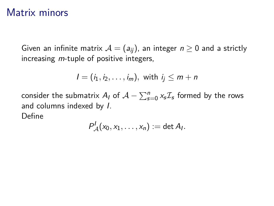#### Matrix minors

Given an infinite matrix  $A = (a_{ij})$ , an integer  $n \geq 0$  and a strictly increasing *m*-tuple of positive integers,

$$
I=(i_1,i_2,\ldots,i_m), \text{ with } i_j\leq m+n
$$

consider the submatrix  $A_I$  of  $\mathcal{A}-\sum_{s=0}^n \mathsf{x}_s \mathcal{I}_s$  formed by the rows and columns indexed by I. Define

$$
P^1_{\mathcal{A}}(x_0,x_1,\ldots,x_n):=\det A_I.
$$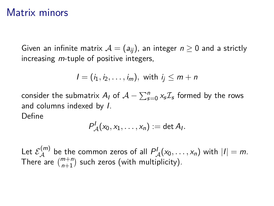#### Matrix minors

Given an infinite matrix  $A = (a_{ij})$ , an integer  $n \geq 0$  and a strictly increasing *m*-tuple of positive integers,

$$
I=(i_1,i_2,\ldots,i_m), \text{ with } i_j\leq m+n
$$

consider the submatrix  $A_I$  of  $\mathcal{A}-\sum_{s=0}^n \mathsf{x}_s \mathcal{I}_s$  formed by the rows and columns indexed by I.

Define

$$
P^1_{\mathcal{A}}(x_0,x_1,\ldots,x_n):=\det A_I.
$$

Let  $\mathcal{E}_{\mathcal{A}}^{(m)}$  be the common zeros of all  $P_{\mathcal{A}}^{I}(x_0,\ldots,x_n)$  with  $|I|=m$ . There are  $\binom{m+n}{n+1}$  such zeros (with multiplicity).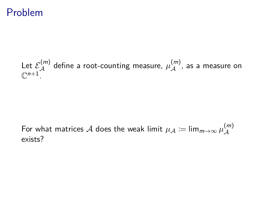#### Problem

#### Let  $\mathcal{E}_{\mathcal{A}}^{(m)}$  define a root-counting measure,  $\mu_{\mathcal{A}}^{(m)}$ , as a measure on  $\mathbb{C}^{n+1}$ .

#### For what matrices  ${\cal A}$  does the weak limit  $\mu_{\cal A} \coloneqq \lim_{m \to \infty} \mu^{(m)}_{\cal A}$  $\mathcal A$ exists?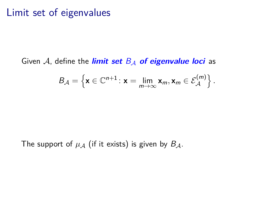#### Limit set of eigenvalues

Given  $A$ , define the **limit set**  $B_A$  of eigenvalue loci as

$$
B_{\mathcal{A}} = \left\{ \mathbf{x} \in \mathbb{C}^{n+1} : \mathbf{x} = \lim_{m \to \infty} \mathbf{x}_m, \mathbf{x}_m \in \mathcal{E}_{\mathcal{A}}^{(m)} \right\}.
$$

The support of  $\mu_A$  (if it exists) is given by  $B_A$ .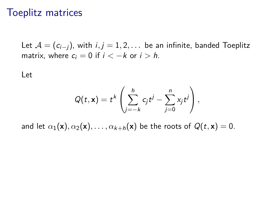#### Toeplitz matrices

Let  $A = (c_{i-j})$ , with  $i, j = 1, 2, \ldots$  be an infinite, banded Toeplitz matrix, where  $c_i = 0$  if  $i < -k$  or  $i > h$ .

Let

$$
Q(t,\mathbf{x})=t^k\left(\sum_{j=-k}^hc_jt^j-\sum_{j=0}^n x_jt^j\right),
$$

and let  $\alpha_1(\mathbf{x}), \alpha_2(\mathbf{x}), \ldots, \alpha_{k+h}(\mathbf{x})$  be the roots of  $Q(t, \mathbf{x}) = 0$ .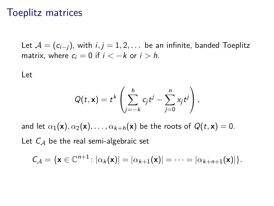#### Toeplitz matrices

Let  $A = (c_{i-1})$ , with  $i, j = 1, 2, \ldots$  be an infinite, banded Toeplitz matrix, where  $c_i = 0$  if  $i < -k$  or  $i > h$ .

Let

$$
Q(t,\mathbf{x})=t^k\left(\sum_{j=-k}^hc_jt^j-\sum_{j=0}^n x_jt^j\right),
$$

and let  $\alpha_1(\mathbf{x}), \alpha_2(\mathbf{x}), \ldots, \alpha_{k+h}(\mathbf{x})$  be the roots of  $Q(t, \mathbf{x}) = 0$ . Let  $C_A$  be the real semi-algebraic set

$$
C_{\mathcal{A}} = \{ \mathbf{x} \in \mathbb{C}^{n+1} \colon |\alpha_k(\mathbf{x})| = |\alpha_{k+1}(\mathbf{x})| = \dots = |\alpha_{k+n+1}(\mathbf{x})| \}.
$$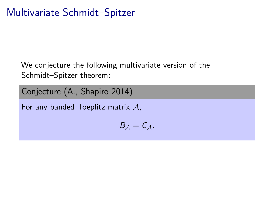## Multivariate Schmidt–Spitzer

We conjecture the following multivariate version of the Schmidt–Spitzer theorem:

Conjecture (A., Shapiro 2014)

For any banded Toeplitz matrix  $\mathcal{A}$ ,

$$
B_{\mathcal{A}}=C_{\mathcal{A}}.
$$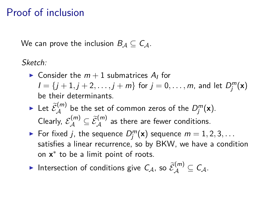## Proof of inclusion

We can prove the inclusion  $B_A \subset C_A$ .

Sketch:

- $\blacktriangleright$  Consider the  $m+1$  submatrices  $A_I$  for  $I = \{j+1, j+2, \ldots, j+m\}$  for  $j = 0, \ldots, m$ , and let  $D_j^m(\mathbf{x})$ be their determinants.
- It Let  $\widetilde{\mathcal{E}}_{\mathcal{A}}^{(m)}$  be the set of common zeros of the  $D_j^m(\mathbf{x})$ . Clearly,  $\mathcal{E}_{\mathcal{A}}^{(m)} \subseteq \widetilde{\mathcal{E}}_{\mathcal{A}}^{(m)}$  as there are fewer conditions.
- For fixed *j*, the sequence  $D_j^m(\mathbf{x})$  sequence  $m = 1, 2, 3, \ldots$ satisfies a linear recurrence, so by BKW, we have a condition on **x** ∗ to be a limit point of roots.
- Intersection of conditions give  $C_{\mathcal{A}}$ , so  $\widetilde{\mathcal{E}}_{\mathcal{A}}^{(m)} \subseteq C_{\mathcal{A}}$ .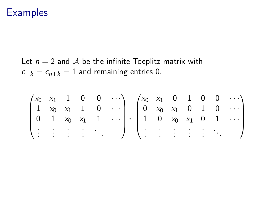### **Examples**

Let  $n = 2$  and A be the infinite Toeplitz matrix with  $c_{-k} = c_{n+k} = 1$  and remaining entries 0.

$$
\begin{pmatrix} x_0 & x_1 & 1 & 0 & 0 & \cdots \\ 1 & x_0 & x_1 & 1 & 0 & \cdots \\ 0 & 1 & x_0 & x_1 & 1 & \cdots \\ \vdots & \vdots & \vdots & \vdots & \ddots & \end{pmatrix}, \begin{pmatrix} x_0 & x_1 & 0 & 1 & 0 & 0 & \cdots \\ 0 & x_0 & x_1 & 0 & 1 & 0 & \cdots \\ 1 & 0 & x_0 & x_1 & 0 & 1 & \cdots \\ \vdots & \vdots & \vdots & \vdots & \vdots & \ddots & \end{pmatrix}
$$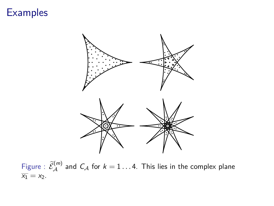### **Examples**



Figure :  $\widetilde{\mathcal{E}}_\mathcal{A}^{(m)}$  and  $\mathcal{C}_\mathcal{A}$  for  $k=1\dots 4$ . This lies in the complex plane  $\overline{x_1} = x_2.$